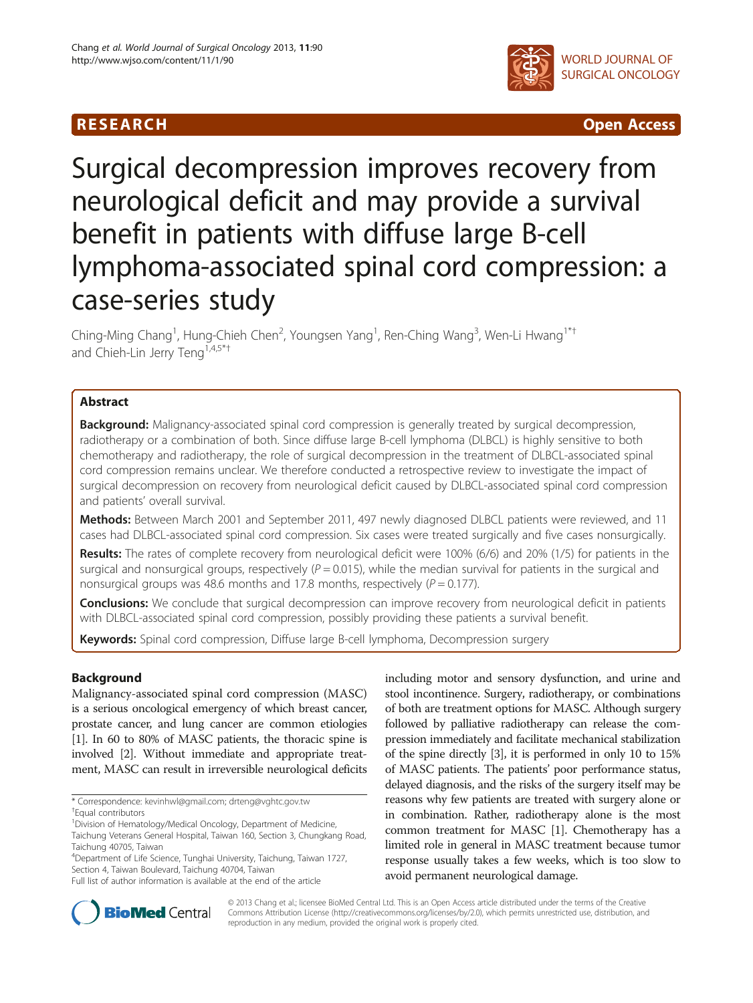

R E S EAR CH Open Access

# Surgical decompression improves recovery from neurological deficit and may provide a survival benefit in patients with diffuse large B-cell lymphoma-associated spinal cord compression: a case-series study

Ching-Ming Chang<sup>1</sup>, Hung-Chieh Chen<sup>2</sup>, Youngsen Yang<sup>1</sup>, Ren-Ching Wang<sup>3</sup>, Wen-Li Hwang<sup>1\*†</sup> and Chieh-Lin Jerry Teng<sup>1,4,5\*†</sup>

# Abstract

Background: Malignancy-associated spinal cord compression is generally treated by surgical decompression, radiotherapy or a combination of both. Since diffuse large B-cell lymphoma (DLBCL) is highly sensitive to both chemotherapy and radiotherapy, the role of surgical decompression in the treatment of DLBCL-associated spinal cord compression remains unclear. We therefore conducted a retrospective review to investigate the impact of surgical decompression on recovery from neurological deficit caused by DLBCL-associated spinal cord compression and patients' overall survival.

Methods: Between March 2001 and September 2011, 497 newly diagnosed DLBCL patients were reviewed, and 11 cases had DLBCL-associated spinal cord compression. Six cases were treated surgically and five cases nonsurgically.

Results: The rates of complete recovery from neurological deficit were 100% (6/6) and 20% (1/5) for patients in the surgical and nonsurgical groups, respectively  $(P = 0.015)$ , while the median survival for patients in the surgical and nonsurgical groups was 48.6 months and 17.8 months, respectively ( $P = 0.177$ ).

**Conclusions:** We conclude that surgical decompression can improve recovery from neurological deficit in patients with DLBCL-associated spinal cord compression, possibly providing these patients a survival benefit.

Keywords: Spinal cord compression, Diffuse large B-cell lymphoma, Decompression surgery

# Background

Malignancy-associated spinal cord compression (MASC) is a serious oncological emergency of which breast cancer, prostate cancer, and lung cancer are common etiologies [[1](#page-6-0)]. In 60 to 80% of MASC patients, the thoracic spine is involved [\[2\]](#page-6-0). Without immediate and appropriate treatment, MASC can result in irreversible neurological deficits including motor and sensory dysfunction, and urine and stool incontinence. Surgery, radiotherapy, or combinations of both are treatment options for MASC. Although surgery followed by palliative radiotherapy can release the compression immediately and facilitate mechanical stabilization of the spine directly [\[3\]](#page-6-0), it is performed in only 10 to 15% of MASC patients. The patients' poor performance status, delayed diagnosis, and the risks of the surgery itself may be reasons why few patients are treated with surgery alone or in combination. Rather, radiotherapy alone is the most common treatment for MASC [\[1\]](#page-6-0). Chemotherapy has a limited role in general in MASC treatment because tumor response usually takes a few weeks, which is too slow to avoid permanent neurological damage.



© 2013 Chang et al.; licensee BioMed Central Ltd. This is an Open Access article distributed under the terms of the Creative Commons Attribution License [\(http://creativecommons.org/licenses/by/2.0\)](http://creativecommons.org/licenses/by/2.0), which permits unrestricted use, distribution, and reproduction in any medium, provided the original work is properly cited.

<sup>\*</sup> Correspondence: [kevinhwl@gmail.com;](mailto:kevinhwl@gmail.com) [drteng@vghtc.gov.tw](mailto:drteng@vghtc.gov.tw) † Equal contributors

<sup>&</sup>lt;sup>1</sup>Division of Hematology/Medical Oncology, Department of Medicine,

Taichung Veterans General Hospital, Taiwan 160, Section 3, Chungkang Road, Taichung 40705, Taiwan

<sup>4</sup> Department of Life Science, Tunghai University, Taichung, Taiwan 1727, Section 4, Taiwan Boulevard, Taichung 40704, Taiwan

Full list of author information is available at the end of the article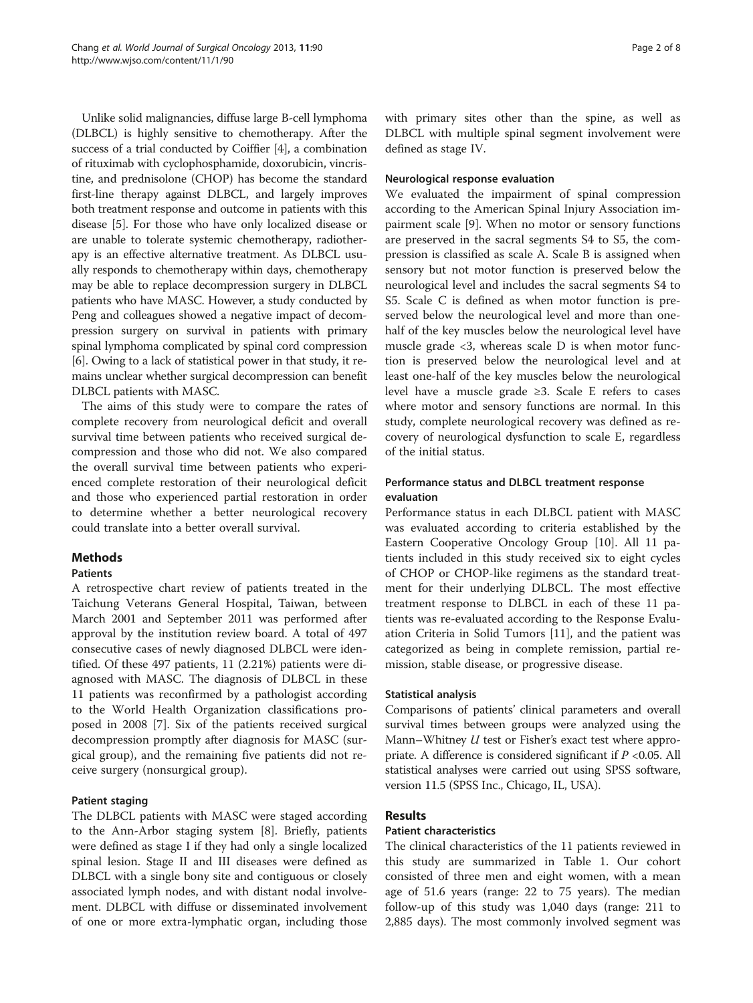Unlike solid malignancies, diffuse large B-cell lymphoma (DLBCL) is highly sensitive to chemotherapy. After the success of a trial conducted by Coiffier [[4](#page-6-0)], a combination of rituximab with cyclophosphamide, doxorubicin, vincristine, and prednisolone (CHOP) has become the standard first-line therapy against DLBCL, and largely improves both treatment response and outcome in patients with this disease [[5](#page-6-0)]. For those who have only localized disease or are unable to tolerate systemic chemotherapy, radiotherapy is an effective alternative treatment. As DLBCL usually responds to chemotherapy within days, chemotherapy may be able to replace decompression surgery in DLBCL patients who have MASC. However, a study conducted by Peng and colleagues showed a negative impact of decompression surgery on survival in patients with primary spinal lymphoma complicated by spinal cord compression [[6\]](#page-6-0). Owing to a lack of statistical power in that study, it remains unclear whether surgical decompression can benefit DLBCL patients with MASC.

The aims of this study were to compare the rates of complete recovery from neurological deficit and overall survival time between patients who received surgical decompression and those who did not. We also compared the overall survival time between patients who experienced complete restoration of their neurological deficit and those who experienced partial restoration in order to determine whether a better neurological recovery could translate into a better overall survival.

# **Methods**

# **Patients**

A retrospective chart review of patients treated in the Taichung Veterans General Hospital, Taiwan, between March 2001 and September 2011 was performed after approval by the institution review board. A total of 497 consecutive cases of newly diagnosed DLBCL were identified. Of these 497 patients, 11 (2.21%) patients were diagnosed with MASC. The diagnosis of DLBCL in these 11 patients was reconfirmed by a pathologist according to the World Health Organization classifications proposed in 2008 [\[7\]](#page-6-0). Six of the patients received surgical decompression promptly after diagnosis for MASC (surgical group), and the remaining five patients did not receive surgery (nonsurgical group).

# Patient staging

The DLBCL patients with MASC were staged according to the Ann-Arbor staging system [\[8](#page-6-0)]. Briefly, patients were defined as stage I if they had only a single localized spinal lesion. Stage II and III diseases were defined as DLBCL with a single bony site and contiguous or closely associated lymph nodes, and with distant nodal involvement. DLBCL with diffuse or disseminated involvement of one or more extra-lymphatic organ, including those with primary sites other than the spine, as well as DLBCL with multiple spinal segment involvement were defined as stage IV.

#### Neurological response evaluation

We evaluated the impairment of spinal compression according to the American Spinal Injury Association impairment scale [[9\]](#page-6-0). When no motor or sensory functions are preserved in the sacral segments S4 to S5, the compression is classified as scale A. Scale B is assigned when sensory but not motor function is preserved below the neurological level and includes the sacral segments S4 to S5. Scale C is defined as when motor function is preserved below the neurological level and more than onehalf of the key muscles below the neurological level have muscle grade  $<$ 3, whereas scale  $D$  is when motor function is preserved below the neurological level and at least one-half of the key muscles below the neurological level have a muscle grade ≥3. Scale E refers to cases where motor and sensory functions are normal. In this study, complete neurological recovery was defined as recovery of neurological dysfunction to scale E, regardless of the initial status.

# Performance status and DLBCL treatment response evaluation

Performance status in each DLBCL patient with MASC was evaluated according to criteria established by the Eastern Cooperative Oncology Group [\[10](#page-6-0)]. All 11 patients included in this study received six to eight cycles of CHOP or CHOP-like regimens as the standard treatment for their underlying DLBCL. The most effective treatment response to DLBCL in each of these 11 patients was re-evaluated according to the Response Evaluation Criteria in Solid Tumors [\[11\]](#page-6-0), and the patient was categorized as being in complete remission, partial remission, stable disease, or progressive disease.

#### Statistical analysis

Comparisons of patients' clinical parameters and overall survival times between groups were analyzed using the Mann–Whitney *U* test or Fisher's exact test where appropriate. A difference is considered significant if  $P < 0.05$ . All statistical analyses were carried out using SPSS software, version 11.5 (SPSS Inc., Chicago, IL, USA).

# Results

#### Patient characteristics

The clinical characteristics of the 11 patients reviewed in this study are summarized in Table [1](#page-2-0). Our cohort consisted of three men and eight women, with a mean age of 51.6 years (range: 22 to 75 years). The median follow-up of this study was 1,040 days (range: 211 to 2,885 days). The most commonly involved segment was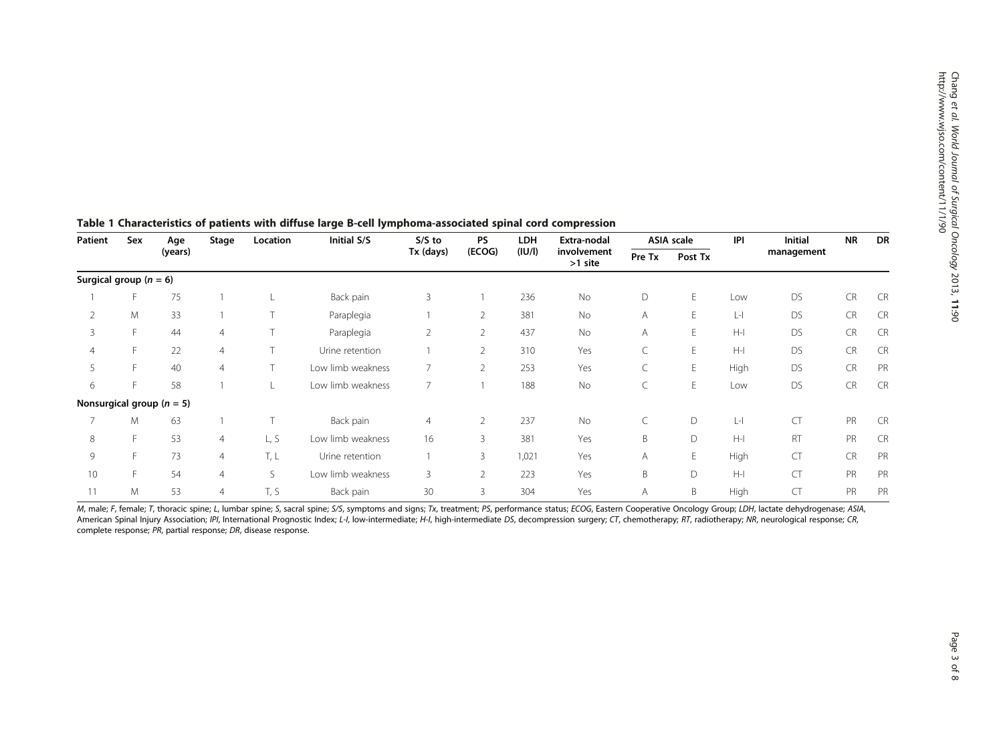| Patient                    | Sex | Age<br>(years)                | Stage          | Location | Initial S/S       | $S/S$ to<br>Tx (days) | <b>PS</b><br>(ECOG) | <b>LDH</b><br>(IU/I) | Extra-nodal<br>involvement<br>>1 site | <b>ASIA</b> scale |         | IPI     | Initial    | <b>NR</b> | DR        |
|----------------------------|-----|-------------------------------|----------------|----------|-------------------|-----------------------|---------------------|----------------------|---------------------------------------|-------------------|---------|---------|------------|-----------|-----------|
|                            |     |                               |                |          |                   |                       |                     |                      |                                       | Pre Tx            | Post Tx |         | management |           |           |
| Surgical group ( $n = 6$ ) |     |                               |                |          |                   |                       |                     |                      |                                       |                   |         |         |            |           |           |
|                            |     | 75                            |                |          | Back pain         | 3                     |                     | 236                  | No                                    | D                 | Е       | Low     | <b>DS</b>  | <b>CR</b> | CR        |
|                            | M   | 33                            |                | Τ        | Paraplegia        |                       | $\overline{2}$      | 381                  | No                                    | Α                 | E.      | $L - I$ | <b>DS</b>  | <b>CR</b> | <b>CR</b> |
| 3                          |     | 44                            | $\overline{4}$ |          | Paraplegia        | $\overline{2}$        | $\overline{2}$      | 437                  | No                                    | Α                 | F       | $H-I$   | <b>DS</b>  | <b>CR</b> | <b>CR</b> |
| 4                          | E   | 22                            | $\overline{4}$ | т        | Urine retention   |                       | $\overline{2}$      | 310                  | Yes                                   | C                 | E.      | $H-I$   | <b>DS</b>  | <b>CR</b> | <b>CR</b> |
|                            |     | 40                            | $\overline{4}$ | т        | Low limb weakness | $\overline{7}$        | $\overline{2}$      | 253                  | Yes                                   | C                 | E       | High    | DS         | <b>CR</b> | PR        |
| 6                          | E   | 58                            |                |          | Low limb weakness | $\overline{7}$        |                     | 188                  | No                                    | C                 | E       | Low     | <b>DS</b>  | <b>CR</b> | <b>CR</b> |
|                            |     | Nonsurgical group ( $n = 5$ ) |                |          |                   |                       |                     |                      |                                       |                   |         |         |            |           |           |
|                            | M   | 63                            |                | Τ        | Back pain         | $\overline{4}$        | 2                   | 237                  | No                                    | C                 | D       | $L - I$ | CT         | PR        | <b>CR</b> |
| 8                          | F.  | 53                            | $\overline{4}$ | L, S     | Low limb weakness | 16                    | 3                   | 381                  | Yes                                   | B                 | D       | $H-I$   | RT         | PR        | <b>CR</b> |
| 9                          |     | 73                            | $\overline{4}$ | T, L     | Urine retention   |                       | 3                   | 1,021                | Yes                                   | Α                 | E.      | High    | CT         | <b>CR</b> | PR        |
| 10                         | E   | 54                            | $\overline{4}$ | S.       | Low limb weakness | 3                     | 2                   | 223                  | Yes                                   | B                 | D       | $H-I$   | CT         | PR        | PR        |
| 11                         | M   | 53                            | $\overline{4}$ | T, S     | Back pain         | 30                    | 3                   | 304                  | Yes                                   | Α                 | Β       | High    | CT         | PR        | PR        |

# <span id="page-2-0"></span>Table 1 Characteristics of patients with diffuse large B-cell lymphoma-associated spinal cord compression

M, male; F, female; T, thoracic spine; L, lumbar spine; S, sacral spine; S/S, symptoms and signs; Tx, treatment; PS, performance status; ECOG, Eastern Cooperative Oncology Group; LDH, lactate dehydrogenase; ASIA, American Spinal Injury Association; IPI, International Prognostic Index; L-I, low-intermediate; H-I, high-intermediate DS, decompression surgery; CT, chemotherapy; RT, radiotherapy; NR, neurological response; CR, complete response; PR, partial response; DR, disease response.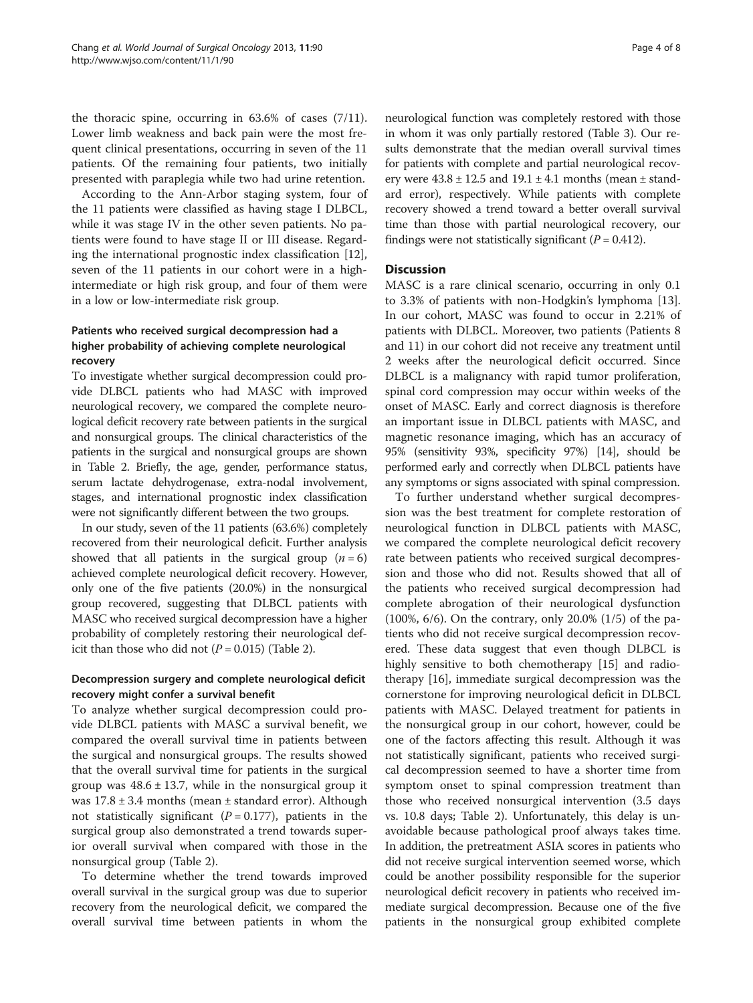the thoracic spine, occurring in 63.6% of cases (7/11). Lower limb weakness and back pain were the most frequent clinical presentations, occurring in seven of the 11 patients. Of the remaining four patients, two initially presented with paraplegia while two had urine retention.

According to the Ann-Arbor staging system, four of the 11 patients were classified as having stage I DLBCL, while it was stage IV in the other seven patients. No patients were found to have stage II or III disease. Regarding the international prognostic index classification [\[12](#page-6-0)], seven of the 11 patients in our cohort were in a highintermediate or high risk group, and four of them were in a low or low-intermediate risk group.

# Patients who received surgical decompression had a higher probability of achieving complete neurological recovery

To investigate whether surgical decompression could provide DLBCL patients who had MASC with improved neurological recovery, we compared the complete neurological deficit recovery rate between patients in the surgical and nonsurgical groups. The clinical characteristics of the patients in the surgical and nonsurgical groups are shown in Table [2](#page-4-0). Briefly, the age, gender, performance status, serum lactate dehydrogenase, extra-nodal involvement, stages, and international prognostic index classification were not significantly different between the two groups.

In our study, seven of the 11 patients (63.6%) completely recovered from their neurological deficit. Further analysis showed that all patients in the surgical group  $(n = 6)$ achieved complete neurological deficit recovery. However, only one of the five patients (20.0%) in the nonsurgical group recovered, suggesting that DLBCL patients with MASC who received surgical decompression have a higher probability of completely restoring their neurological deficit than those who did not  $(P = 0.015)$  (Table [2](#page-4-0)).

# Decompression surgery and complete neurological deficit recovery might confer a survival benefit

To analyze whether surgical decompression could provide DLBCL patients with MASC a survival benefit, we compared the overall survival time in patients between the surgical and nonsurgical groups. The results showed that the overall survival time for patients in the surgical group was  $48.6 \pm 13.7$ , while in the nonsurgical group it was  $17.8 \pm 3.4$  months (mean  $\pm$  standard error). Although not statistically significant ( $P = 0.177$ ), patients in the surgical group also demonstrated a trend towards superior overall survival when compared with those in the nonsurgical group (Table [2](#page-4-0)).

To determine whether the trend towards improved overall survival in the surgical group was due to superior recovery from the neurological deficit, we compared the overall survival time between patients in whom the

neurological function was completely restored with those in whom it was only partially restored (Table [3](#page-5-0)). Our results demonstrate that the median overall survival times for patients with complete and partial neurological recovery were  $43.8 \pm 12.5$  and  $19.1 \pm 4.1$  months (mean  $\pm$  standard error), respectively. While patients with complete recovery showed a trend toward a better overall survival time than those with partial neurological recovery, our findings were not statistically significant ( $P = 0.412$ ).

# **Discussion**

MASC is a rare clinical scenario, occurring in only 0.1 to 3.3% of patients with non-Hodgkin's lymphoma [\[13](#page-6-0)]. In our cohort, MASC was found to occur in 2.21% of patients with DLBCL. Moreover, two patients (Patients 8 and 11) in our cohort did not receive any treatment until 2 weeks after the neurological deficit occurred. Since DLBCL is a malignancy with rapid tumor proliferation, spinal cord compression may occur within weeks of the onset of MASC. Early and correct diagnosis is therefore an important issue in DLBCL patients with MASC, and magnetic resonance imaging, which has an accuracy of 95% (sensitivity 93%, specificity 97%) [\[14](#page-6-0)], should be performed early and correctly when DLBCL patients have any symptoms or signs associated with spinal compression.

To further understand whether surgical decompression was the best treatment for complete restoration of neurological function in DLBCL patients with MASC, we compared the complete neurological deficit recovery rate between patients who received surgical decompression and those who did not. Results showed that all of the patients who received surgical decompression had complete abrogation of their neurological dysfunction (100%, 6/6). On the contrary, only 20.0% (1/5) of the patients who did not receive surgical decompression recovered. These data suggest that even though DLBCL is highly sensitive to both chemotherapy [\[15](#page-6-0)] and radiotherapy [\[16\]](#page-6-0), immediate surgical decompression was the cornerstone for improving neurological deficit in DLBCL patients with MASC. Delayed treatment for patients in the nonsurgical group in our cohort, however, could be one of the factors affecting this result. Although it was not statistically significant, patients who received surgical decompression seemed to have a shorter time from symptom onset to spinal compression treatment than those who received nonsurgical intervention (3.5 days vs. 10.8 days; Table [2](#page-4-0)). Unfortunately, this delay is unavoidable because pathological proof always takes time. In addition, the pretreatment ASIA scores in patients who did not receive surgical intervention seemed worse, which could be another possibility responsible for the superior neurological deficit recovery in patients who received immediate surgical decompression. Because one of the five patients in the nonsurgical group exhibited complete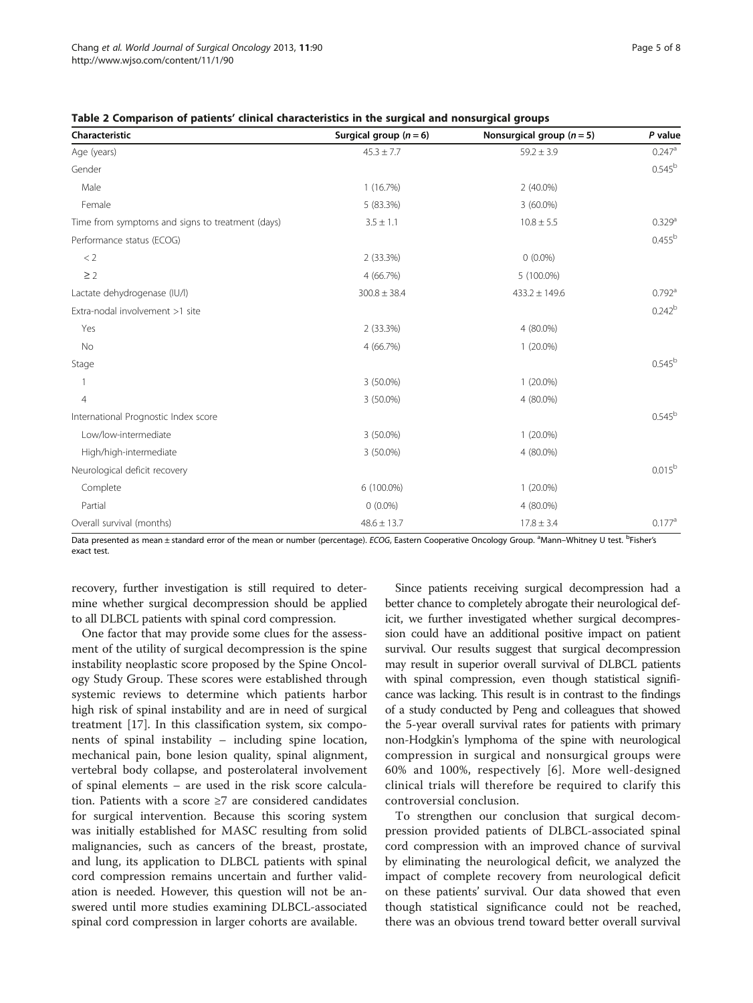| Characteristic                                   | Surgical group $(n = 6)$ | Nonsurgical group ( $n = 5$ ) | P value              |
|--------------------------------------------------|--------------------------|-------------------------------|----------------------|
| Age (years)                                      | $45.3 \pm 7.7$           | $59.2 \pm 3.9$                | $0.247$ <sup>a</sup> |
| Gender                                           |                          |                               | $0.545^{\rm b}$      |
| Male                                             | 1(16.7%)                 | $2(40.0\%)$                   |                      |
| Female                                           | 5 (83.3%)                | 3 (60.0%)                     |                      |
| Time from symptoms and signs to treatment (days) | $3.5 \pm 1.1$            | $10.8 \pm 5.5$                | 0.329 <sup>a</sup>   |
| Performance status (ECOG)                        |                          |                               | $0.455^{\rm b}$      |
| < 2                                              | 2 (33.3%)                | $0(0.0\%)$                    |                      |
| $\geq$ 2                                         | 4 (66.7%)                | 5 (100.0%)                    |                      |
| Lactate dehydrogenase (IU/I)                     | $300.8 \pm 38.4$         | $433.2 \pm 149.6$             | $0.792$ <sup>a</sup> |
| Extra-nodal involvement >1 site                  |                          |                               | $0.242^b$            |
| Yes                                              | 2 (33.3%)                | 4 (80.0%)                     |                      |
| No                                               | 4 (66.7%)                | $1(20.0\%)$                   |                      |
| Stage                                            |                          |                               | $0.545^{\rm b}$      |
|                                                  | 3 (50.0%)                | $1(20.0\%)$                   |                      |
| $\overline{4}$                                   | 3 (50.0%)                | 4 (80.0%)                     |                      |
| International Prognostic Index score             |                          |                               | $0.545^{\rm b}$      |
| Low/low-intermediate                             | 3 (50.0%)                | $1(20.0\%)$                   |                      |
| High/high-intermediate                           | 3 (50.0%)                | 4 (80.0%)                     |                      |
| Neurological deficit recovery                    |                          |                               | $0.015^{b}$          |
| Complete                                         | 6 (100.0%)               | $1(20.0\%)$                   |                      |
| Partial                                          | $0(0.0\%)$               | 4 (80.0%)                     |                      |
| Overall survival (months)                        | $48.6 \pm 13.7$          | $17.8 \pm 3.4$                | $0.177$ <sup>a</sup> |

<span id="page-4-0"></span>Table 2 Comparison of patients' clinical characteristics in the surgical and nonsurgical groups

Data presented as mean±standard error of the mean or number (percentage). *ECOG,* Eastern Cooperative Oncology Group. <sup>a</sup>Mann–Whitney U test. <sup>b</sup>Fisher's exact test.

recovery, further investigation is still required to determine whether surgical decompression should be applied to all DLBCL patients with spinal cord compression.

One factor that may provide some clues for the assessment of the utility of surgical decompression is the spine instability neoplastic score proposed by the Spine Oncology Study Group. These scores were established through systemic reviews to determine which patients harbor high risk of spinal instability and are in need of surgical treatment [[17\]](#page-6-0). In this classification system, six components of spinal instability – including spine location, mechanical pain, bone lesion quality, spinal alignment, vertebral body collapse, and posterolateral involvement of spinal elements – are used in the risk score calculation. Patients with a score  $\geq 7$  are considered candidates for surgical intervention. Because this scoring system was initially established for MASC resulting from solid malignancies, such as cancers of the breast, prostate, and lung, its application to DLBCL patients with spinal cord compression remains uncertain and further validation is needed. However, this question will not be answered until more studies examining DLBCL-associated spinal cord compression in larger cohorts are available.

Since patients receiving surgical decompression had a better chance to completely abrogate their neurological deficit, we further investigated whether surgical decompression could have an additional positive impact on patient survival. Our results suggest that surgical decompression may result in superior overall survival of DLBCL patients with spinal compression, even though statistical significance was lacking. This result is in contrast to the findings of a study conducted by Peng and colleagues that showed the 5-year overall survival rates for patients with primary non-Hodgkin's lymphoma of the spine with neurological compression in surgical and nonsurgical groups were 60% and 100%, respectively [\[6](#page-6-0)]. More well-designed clinical trials will therefore be required to clarify this controversial conclusion.

To strengthen our conclusion that surgical decompression provided patients of DLBCL-associated spinal cord compression with an improved chance of survival by eliminating the neurological deficit, we analyzed the impact of complete recovery from neurological deficit on these patients' survival. Our data showed that even though statistical significance could not be reached, there was an obvious trend toward better overall survival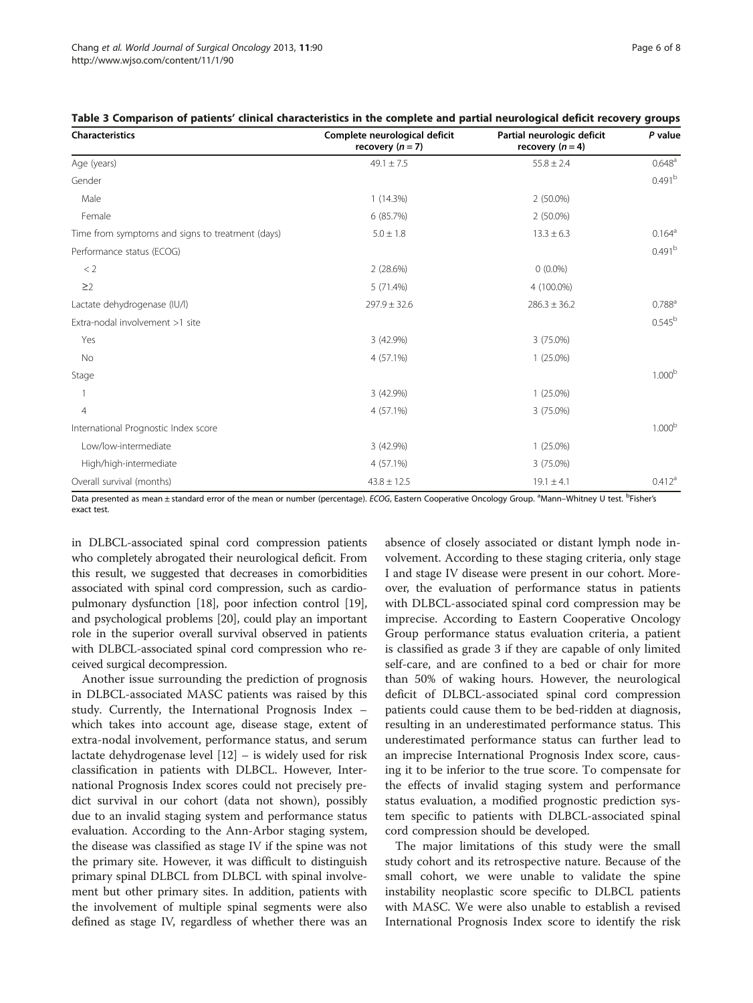| <b>Characteristics</b>                           | Complete neurological deficit<br>recovery $(n = 7)$ | Partial neurologic deficit<br>recovery $(n = 4)$ | P value              |  |
|--------------------------------------------------|-----------------------------------------------------|--------------------------------------------------|----------------------|--|
| Age (years)                                      | $49.1 \pm 7.5$                                      | $55.8 \pm 2.4$                                   | $0.648^{\rm a}$      |  |
| Gender                                           |                                                     |                                                  | 0.491 <sup>b</sup>   |  |
| Male                                             | 1(14.3%)                                            | $2(50.0\%)$                                      |                      |  |
| Female                                           | 6 (85.7%)                                           | $2(50.0\%)$                                      |                      |  |
| Time from symptoms and signs to treatment (days) | $5.0 \pm 1.8$                                       | $13.3 \pm 6.3$                                   | $0.164^a$            |  |
| Performance status (ECOG)                        |                                                     |                                                  | 0.491 <sup>b</sup>   |  |
| < 2                                              | 2(28.6%)                                            | $0(0.0\%)$                                       |                      |  |
| $\geq$ 2                                         | 5(71.4%)                                            | 4 (100.0%)                                       |                      |  |
| Lactate dehydrogenase (IU/I)                     | $297.9 \pm 32.6$                                    | $286.3 \pm 36.2$                                 | $0.788$ <sup>a</sup> |  |
| Extra-nodal involvement >1 site                  |                                                     |                                                  | $0.545^{\rm b}$      |  |
| Yes                                              | 3 (42.9%)                                           | 3 (75.0%)                                        |                      |  |
| No                                               | 4 (57.1%)                                           | $1(25.0\%)$                                      |                      |  |
| Stage                                            |                                                     |                                                  | 1.000 <sup>b</sup>   |  |
|                                                  | 3 (42.9%)                                           | $1(25.0\%)$                                      |                      |  |
| 4                                                | 4 (57.1%)                                           | 3 (75.0%)                                        |                      |  |
| International Prognostic Index score             |                                                     |                                                  | 1.000 <sup>b</sup>   |  |
| Low/low-intermediate                             | 3 (42.9%)                                           | $1(25.0\%)$                                      |                      |  |
| High/high-intermediate                           | 4 (57.1%)                                           | 3 (75.0%)                                        |                      |  |
| Overall survival (months)                        | $43.8 \pm 12.5$                                     | $19.1 \pm 4.1$                                   | 0.412 <sup>a</sup>   |  |

<span id="page-5-0"></span>Table 3 Comparison of patients' clinical characteristics in the complete and partial neurological deficit recovery groups

Data presented as mean±standard error of the mean or number (percentage). *ECOG,* Eastern Cooperative Oncology Group. <sup>a</sup>Mann–Whitney U test. <sup>b</sup>Fisher's exact test.

in DLBCL-associated spinal cord compression patients who completely abrogated their neurological deficit. From this result, we suggested that decreases in comorbidities associated with spinal cord compression, such as cardiopulmonary dysfunction [\[18\]](#page-6-0), poor infection control [[19](#page-6-0)], and psychological problems [[20](#page-6-0)], could play an important role in the superior overall survival observed in patients with DLBCL-associated spinal cord compression who received surgical decompression.

Another issue surrounding the prediction of prognosis in DLBCL-associated MASC patients was raised by this study. Currently, the International Prognosis Index – which takes into account age, disease stage, extent of extra-nodal involvement, performance status, and serum lactate dehydrogenase level [[12\]](#page-6-0) – is widely used for risk classification in patients with DLBCL. However, International Prognosis Index scores could not precisely predict survival in our cohort (data not shown), possibly due to an invalid staging system and performance status evaluation. According to the Ann-Arbor staging system, the disease was classified as stage IV if the spine was not the primary site. However, it was difficult to distinguish primary spinal DLBCL from DLBCL with spinal involvement but other primary sites. In addition, patients with the involvement of multiple spinal segments were also defined as stage IV, regardless of whether there was an

absence of closely associated or distant lymph node involvement. According to these staging criteria, only stage I and stage IV disease were present in our cohort. Moreover, the evaluation of performance status in patients with DLBCL-associated spinal cord compression may be imprecise. According to Eastern Cooperative Oncology Group performance status evaluation criteria, a patient is classified as grade 3 if they are capable of only limited self-care, and are confined to a bed or chair for more than 50% of waking hours. However, the neurological deficit of DLBCL-associated spinal cord compression patients could cause them to be bed-ridden at diagnosis, resulting in an underestimated performance status. This underestimated performance status can further lead to an imprecise International Prognosis Index score, causing it to be inferior to the true score. To compensate for the effects of invalid staging system and performance status evaluation, a modified prognostic prediction system specific to patients with DLBCL-associated spinal cord compression should be developed.

The major limitations of this study were the small study cohort and its retrospective nature. Because of the small cohort, we were unable to validate the spine instability neoplastic score specific to DLBCL patients with MASC. We were also unable to establish a revised International Prognosis Index score to identify the risk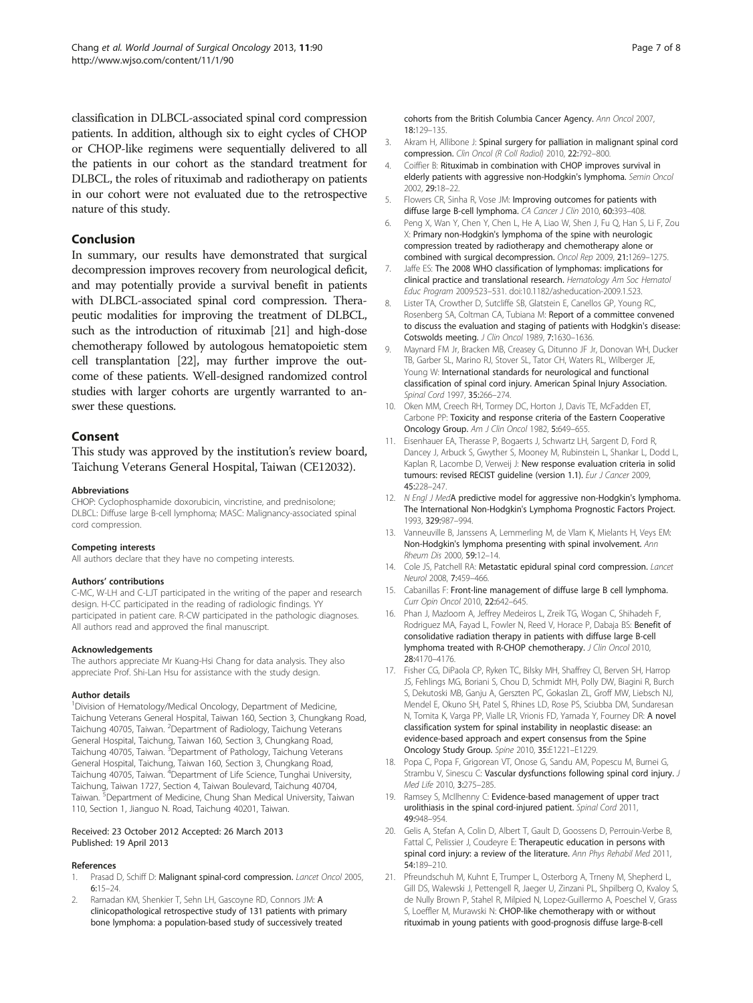<span id="page-6-0"></span>classification in DLBCL-associated spinal cord compression patients. In addition, although six to eight cycles of CHOP or CHOP-like regimens were sequentially delivered to all the patients in our cohort as the standard treatment for DLBCL, the roles of rituximab and radiotherapy on patients in our cohort were not evaluated due to the retrospective nature of this study.

# Conclusion

In summary, our results have demonstrated that surgical decompression improves recovery from neurological deficit, and may potentially provide a survival benefit in patients with DLBCL-associated spinal cord compression. Therapeutic modalities for improving the treatment of DLBCL, such as the introduction of rituximab [21] and high-dose chemotherapy followed by autologous hematopoietic stem cell transplantation [\[22\]](#page-7-0), may further improve the outcome of these patients. Well-designed randomized control studies with larger cohorts are urgently warranted to answer these questions.

#### Consent

This study was approved by the institution's review board, Taichung Veterans General Hospital, Taiwan (CE12032).

#### Abbreviations

CHOP: Cyclophosphamide doxorubicin, vincristine, and prednisolone; DLBCL: Diffuse large B-cell lymphoma; MASC: Malignancy-associated spinal cord compression.

#### Competing interests

All authors declare that they have no competing interests.

#### Authors' contributions

C-MC, W-LH and C-LJT participated in the writing of the paper and research design. H-CC participated in the reading of radiologic findings. YY participated in patient care. R-CW participated in the pathologic diagnoses. All authors read and approved the final manuscript.

#### Acknowledgements

The authors appreciate Mr Kuang-Hsi Chang for data analysis. They also appreciate Prof. Shi-Lan Hsu for assistance with the study design.

#### Author details

<sup>1</sup>Division of Hematology/Medical Oncology, Department of Medicine, Taichung Veterans General Hospital, Taiwan 160, Section 3, Chungkang Road, Taichung 40705, Taiwan. <sup>2</sup>Department of Radiology, Taichung Veterans General Hospital, Taichung, Taiwan 160, Section 3, Chungkang Road, Taichung 40705, Taiwan. <sup>3</sup>Department of Pathology, Taichung Veterans General Hospital, Taichung, Taiwan 160, Section 3, Chungkang Road, Taichung 40705, Taiwan. <sup>4</sup>Department of Life Science, Tunghai University, Taichung, Taiwan 1727, Section 4, Taiwan Boulevard, Taichung 40704, Taiwan. <sup>5</sup>Department of Medicine, Chung Shan Medical University, Taiwan 110, Section 1, Jianguo N. Road, Taichung 40201, Taiwan.

#### Received: 23 October 2012 Accepted: 26 March 2013 Published: 19 April 2013

#### References

- 1. Prasad D, Schiff D: Malignant spinal-cord compression. Lancet Oncol 2005, 6:15–24.
- 2. Ramadan KM, Shenkier T, Sehn LH, Gascoyne RD, Connors JM: A clinicopathological retrospective study of 131 patients with primary bone lymphoma: a population-based study of successively treated

cohorts from the British Columbia Cancer Agency. Ann Oncol 2007, 18:129–135.

- 3. Akram H, Allibone J: Spinal surgery for palliation in malignant spinal cord compression. Clin Oncol (R Coll Radiol) 2010, 22:792–800.
- 4. Coiffier B: Rituximab in combination with CHOP improves survival in elderly patients with aggressive non-Hodgkin's lymphoma. Semin Oncol 2002, 29:18–22.
- 5. Flowers CR, Sinha R, Vose JM: Improving outcomes for patients with diffuse large B-cell lymphoma. CA Cancer J Clin 2010, 60:393-408.
- 6. Peng X, Wan Y, Chen Y, Chen L, He A, Liao W, Shen J, Fu Q, Han S, Li F, Zou X: Primary non-Hodgkin's lymphoma of the spine with neurologic compression treated by radiotherapy and chemotherapy alone or combined with surgical decompression. Oncol Rep 2009, 21:1269–1275.
- 7. Jaffe ES: The 2008 WHO classification of lymphomas: implications for clinical practice and translational research. Hematology Am Soc Hematol Educ Program 2009:523–531. doi[:10.1182/asheducation-2009.1.523](http://dx.doi.org/10.1182/asheducation-2009.1.523).
- 8. Lister TA, Crowther D, Sutcliffe SB, Glatstein E, Canellos GP, Young RC, Rosenberg SA, Coltman CA, Tubiana M: Report of a committee convened to discuss the evaluation and staging of patients with Hodgkin's disease: Cotswolds meeting. J Clin Oncol 1989, 7:1630–1636.
- 9. Maynard FM Jr, Bracken MB, Creasey G, Ditunno JF Jr, Donovan WH, Ducker TB, Garber SL, Marino RJ, Stover SL, Tator CH, Waters RL, Wilberger JE, Young W: International standards for neurological and functional classification of spinal cord injury. American Spinal Injury Association. Spinal Cord 1997, 35:266–274.
- 10. Oken MM, Creech RH, Tormey DC, Horton J, Davis TE, McFadden ET, Carbone PP: Toxicity and response criteria of the Eastern Cooperative Oncology Group. Am J Clin Oncol 1982, 5:649–655.
- 11. Eisenhauer EA, Therasse P, Bogaerts J, Schwartz LH, Sargent D, Ford R, Dancey J, Arbuck S, Gwyther S, Mooney M, Rubinstein L, Shankar L, Dodd L, Kaplan R, Lacombe D, Verweij J: New response evaluation criteria in solid tumours: revised RECIST quideline (version 1.1). Eur J Cancer 2009, 45:228–247.
- 12. N Engl J MedA predictive model for aggressive non-Hodgkin's lymphoma. The International Non-Hodgkin's Lymphoma Prognostic Factors Project. 1993, 329:987–994.
- 13. Vanneuville B, Janssens A, Lemmerling M, de Vlam K, Mielants H, Veys EM: Non-Hodgkin's lymphoma presenting with spinal involvement. Ann Rheum Dis 2000, 59:12–14.
- 14. Cole JS, Patchell RA: Metastatic epidural spinal cord compression. Lancet Neurol 2008, 7:459–466.
- 15. Cabanillas F: Front-line management of diffuse large B cell lymphoma. Curr Opin Oncol 2010, 22:642–645.
- 16. Phan J, Mazloom A, Jeffrey Medeiros L, Zreik TG, Wogan C, Shihadeh F, Rodriguez MA, Fayad L, Fowler N, Reed V, Horace P, Dabaja BS: Benefit of consolidative radiation therapy in patients with diffuse large B-cell lymphoma treated with R-CHOP chemotherapy. J Clin Oncol 2010, 28:4170–4176.
- 17. Fisher CG, DiPaola CP, Ryken TC, Bilsky MH, Shaffrey CI, Berven SH, Harrop JS, Fehlings MG, Boriani S, Chou D, Schmidt MH, Polly DW, Biagini R, Burch S, Dekutoski MB, Ganju A, Gerszten PC, Gokaslan ZL, Groff MW, Liebsch NJ, Mendel E, Okuno SH, Patel S, Rhines LD, Rose PS, Sciubba DM, Sundaresan N, Tomita K, Varga PP, Vialle LR, Vrionis FD, Yamada Y, Fourney DR: A novel classification system for spinal instability in neoplastic disease: an evidence-based approach and expert consensus from the Spine Oncology Study Group. Spine 2010, 35:E1221–E1229.
- 18. Popa C, Popa F, Grigorean VT, Onose G, Sandu AM, Popescu M, Burnei G, Strambu V, Sinescu C: Vascular dysfunctions following spinal cord injury. J Med Life 2010, 3:275–285.
- 19. Ramsey S, McIlhenny C: Evidence-based management of upper tract urolithiasis in the spinal cord-injured patient. Spinal Cord 2011, 49:948–954.
- 20. Gelis A, Stefan A, Colin D, Albert T, Gault D, Goossens D, Perrouin-Verbe B, Fattal C, Pelissier J, Coudeyre E: Therapeutic education in persons with spinal cord injury: a review of the literature. Ann Phys Rehabil Med 2011, 54:189–210.
- 21. Pfreundschuh M, Kuhnt E, Trumper L, Osterborg A, Trneny M, Shepherd L, Gill DS, Walewski J, Pettengell R, Jaeger U, Zinzani PL, Shpilberg O, Kvaloy S, de Nully Brown P, Stahel R, Milpied N, Lopez-Guillermo A, Poeschel V, Grass S, Loeffler M, Murawski N: CHOP-like chemotherapy with or without rituximab in young patients with good-prognosis diffuse large-B-cell